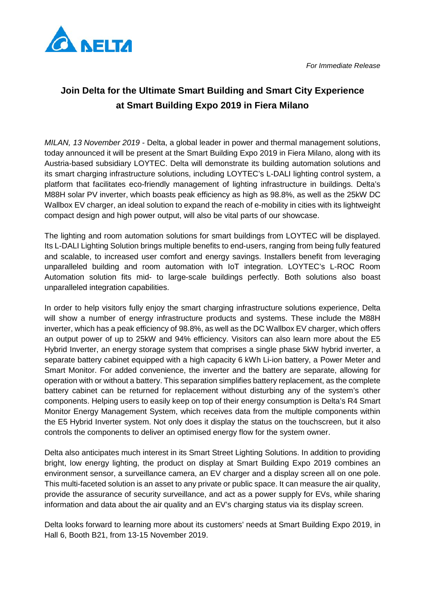



## **Join Delta for the Ultimate Smart Building and Smart City Experience at Smart Building Expo 2019 in Fiera Milano**

*MILAN, 13 November 2019* - Delta, a global leader in power and thermal management solutions, today announced it will be present at the Smart Building Expo 2019 in Fiera Milano, along with its Austria-based subsidiary LOYTEC. Delta will demonstrate its building automation solutions and its smart charging infrastructure solutions, including LOYTEC's L-DALI lighting control system, a platform that facilitates eco-friendly management of lighting infrastructure in buildings. Delta's M88H solar PV inverter, which boasts peak efficiency as high as 98.8%, as well as the 25kW DC Wallbox EV charger, an ideal solution to expand the reach of e-mobility in cities with its lightweight compact design and high power output, will also be vital parts of our showcase.

The lighting and room automation solutions for smart buildings from LOYTEC will be displayed. Its L-DALI Lighting Solution brings multiple benefits to end-users, ranging from being fully featured and scalable, to increased user comfort and energy savings. Installers benefit from leveraging unparalleled building and room automation with IoT integration. LOYTEC's L-ROC Room Automation solution fits mid- to large-scale buildings perfectly. Both solutions also boast unparalleled integration capabilities.

In order to help visitors fully enjoy the smart charging infrastructure solutions experience, Delta will show a number of energy infrastructure products and systems. These include the M88H inverter, which has a peak efficiency of 98.8%, as well as the DC Wallbox EV charger, which offers an output power of up to 25kW and 94% efficiency. Visitors can also learn more about the E5 Hybrid Inverter, an energy storage system that comprises a single phase 5kW hybrid inverter, a separate battery cabinet equipped with a high capacity 6 kWh Li-ion battery, a Power Meter and Smart Monitor. For added convenience, the inverter and the battery are separate, allowing for operation with or without a battery. This separation simplifies battery replacement, as the complete battery cabinet can be returned for replacement without disturbing any of the system's other components. Helping users to easily keep on top of their energy consumption is Delta's R4 Smart Monitor Energy Management System, which receives data from the multiple components within the E5 Hybrid Inverter system. Not only does it display the status on the touchscreen, but it also controls the components to deliver an optimised energy flow for the system owner.

Delta also anticipates much interest in its Smart Street Lighting Solutions. In addition to providing bright, low energy lighting, the product on display at Smart Building Expo 2019 combines an environment sensor, a surveillance camera, an EV charger and a display screen all on one pole. This multi-faceted solution is an asset to any private or public space. It can measure the air quality, provide the assurance of security surveillance, and act as a power supply for EVs, while sharing information and data about the air quality and an EV's charging status via its display screen.

Delta looks forward to learning more about its customers' needs at Smart Building Expo 2019, in Hall 6, Booth B21, from 13-15 November 2019.